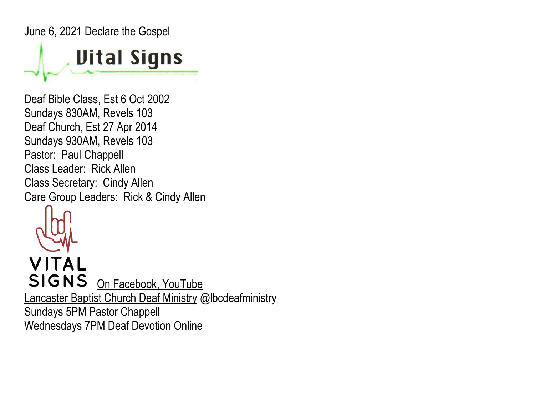June 6, 2021 Declare the Gospel

## **Uital Signs**

Deaf Bible Class, Est 6 Oct 2002 Sundays 830AM, Revels 103 Deaf Church, Est 27 Apr 2014 Sundays 930AM, Revels 103 Pastor: Paul Chappell Class Leader: Rick Allen Class Secretary: Cindy Allen Care Group Leaders: Rick & Cindy Allen



VITAL SIGNS On Facebook, YouTube Lancaster Baptist Church Deaf Ministry @lbcdeafministry Sundays 5PM Pastor Chappell Wednesdays 7PM Deaf Devotion Online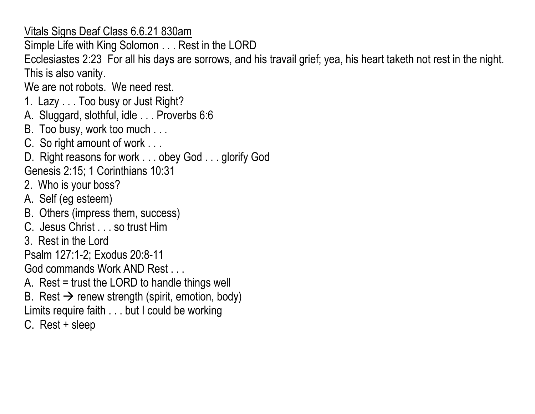Vitals Signs Deaf Class 6.6.21 830am

Simple Life with King Solomon . . . Rest in the LORD

Ecclesiastes 2:23 For all his days are sorrows, and his travail grief; yea, his heart taketh not rest in the night. This is also vanity.

We are not robots. We need rest.

- 1. Lazy . . . Too busy or Just Right?
- A. Sluggard, slothful, idle . . . Proverbs 6:6
- B. Too busy, work too much . . .
- C. So right amount of work . . .
- D. Right reasons for work . . . obey God . . . glorify God
- Genesis 2:15; 1 Corinthians 10:31
- 2. Who is your boss?
- A. Self (eg esteem)
- B. Others (impress them, success)
- C. Jesus Christ . . . so trust Him
- 3. Rest in the Lord

Psalm 127:1-2; Exodus 20:8-11

God commands Work AND Rest ...

- A. Rest = trust the LORD to handle things well
- B. Rest  $\rightarrow$  renew strength (spirit, emotion, body)
- Limits require faith . . . but I could be working
- C. Rest + sleep